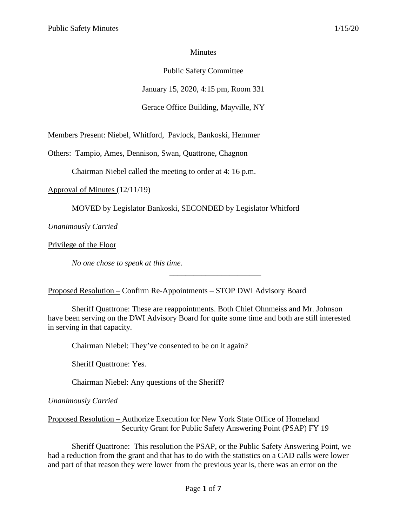#### **Minutes**

# Public Safety Committee

January 15, 2020, 4:15 pm, Room 331

## Gerace Office Building, Mayville, NY

Members Present: Niebel, Whitford, Pavlock, Bankoski, Hemmer

Others: Tampio, Ames, Dennison, Swan, Quattrone, Chagnon

Chairman Niebel called the meeting to order at 4: 16 p.m.

Approval of Minutes (12/11/19)

MOVED by Legislator Bankoski, SECONDED by Legislator Whitford

*Unanimously Carried*

Privilege of the Floor

*No one chose to speak at this time.*

Proposed Resolution – Confirm Re-Appointments – STOP DWI Advisory Board

Sheriff Quattrone: These are reappointments. Both Chief Ohnmeiss and Mr. Johnson have been serving on the DWI Advisory Board for quite some time and both are still interested in serving in that capacity.

\_\_\_\_\_\_\_\_\_\_\_\_\_\_\_\_\_\_\_\_\_\_\_

Chairman Niebel: They've consented to be on it again?

Sheriff Quattrone: Yes.

Chairman Niebel: Any questions of the Sheriff?

*Unanimously Carried*

Proposed Resolution – Authorize Execution for New York State Office of Homeland Security Grant for Public Safety Answering Point (PSAP) FY 19

Sheriff Quattrone: This resolution the PSAP, or the Public Safety Answering Point, we had a reduction from the grant and that has to do with the statistics on a CAD calls were lower and part of that reason they were lower from the previous year is, there was an error on the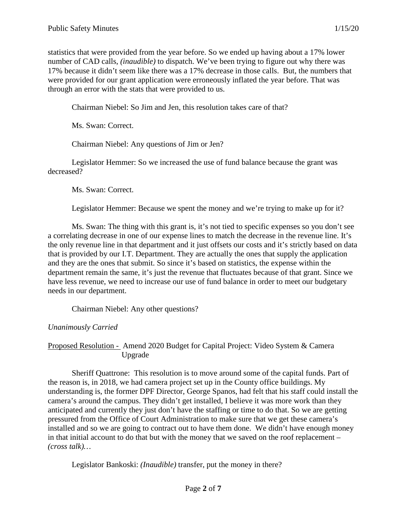statistics that were provided from the year before. So we ended up having about a 17% lower number of CAD calls, *(inaudible)* to dispatch. We've been trying to figure out why there was 17% because it didn't seem like there was a 17% decrease in those calls. But, the numbers that were provided for our grant application were erroneously inflated the year before. That was through an error with the stats that were provided to us.

Chairman Niebel: So Jim and Jen, this resolution takes care of that?

Ms. Swan: Correct.

Chairman Niebel: Any questions of Jim or Jen?

Legislator Hemmer: So we increased the use of fund balance because the grant was decreased?

Ms. Swan: Correct.

Legislator Hemmer: Because we spent the money and we're trying to make up for it?

Ms. Swan: The thing with this grant is, it's not tied to specific expenses so you don't see a correlating decrease in one of our expense lines to match the decrease in the revenue line. It's the only revenue line in that department and it just offsets our costs and it's strictly based on data that is provided by our I.T. Department. They are actually the ones that supply the application and they are the ones that submit. So since it's based on statistics, the expense within the department remain the same, it's just the revenue that fluctuates because of that grant. Since we have less revenue, we need to increase our use of fund balance in order to meet our budgetary needs in our department.

Chairman Niebel: Any other questions?

*Unanimously Carried*

Proposed Resolution - Amend 2020 Budget for Capital Project: Video System & Camera Upgrade

Sheriff Quattrone: This resolution is to move around some of the capital funds. Part of the reason is, in 2018, we had camera project set up in the County office buildings. My understanding is, the former DPF Director, George Spanos, had felt that his staff could install the camera's around the campus. They didn't get installed, I believe it was more work than they anticipated and currently they just don't have the staffing or time to do that. So we are getting pressured from the Office of Court Administration to make sure that we get these camera's installed and so we are going to contract out to have them done. We didn't have enough money in that initial account to do that but with the money that we saved on the roof replacement – *(cross talk)…*

Legislator Bankoski: *(Inaudible)* transfer, put the money in there?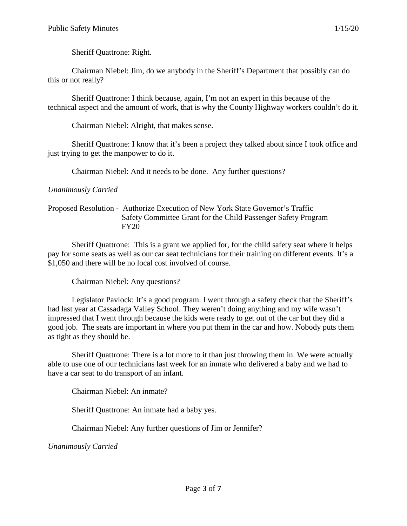Sheriff Quattrone: Right.

Chairman Niebel: Jim, do we anybody in the Sheriff's Department that possibly can do this or not really?

Sheriff Quattrone: I think because, again, I'm not an expert in this because of the technical aspect and the amount of work, that is why the County Highway workers couldn't do it.

Chairman Niebel: Alright, that makes sense.

Sheriff Quattrone: I know that it's been a project they talked about since I took office and just trying to get the manpower to do it.

Chairman Niebel: And it needs to be done. Any further questions?

### *Unanimously Carried*

#### Proposed Resolution - Authorize Execution of New York State Governor's Traffic Safety Committee Grant for the Child Passenger Safety Program FY20

Sheriff Quattrone: This is a grant we applied for, for the child safety seat where it helps pay for some seats as well as our car seat technicians for their training on different events. It's a \$1,050 and there will be no local cost involved of course.

Chairman Niebel: Any questions?

Legislator Pavlock: It's a good program. I went through a safety check that the Sheriff's had last year at Cassadaga Valley School. They weren't doing anything and my wife wasn't impressed that I went through because the kids were ready to get out of the car but they did a good job. The seats are important in where you put them in the car and how. Nobody puts them as tight as they should be.

Sheriff Quattrone: There is a lot more to it than just throwing them in. We were actually able to use one of our technicians last week for an inmate who delivered a baby and we had to have a car seat to do transport of an infant.

Chairman Niebel: An inmate?

Sheriff Quattrone: An inmate had a baby yes.

Chairman Niebel: Any further questions of Jim or Jennifer?

*Unanimously Carried*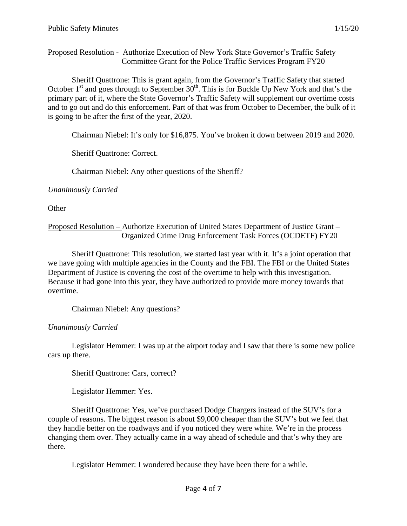Proposed Resolution - Authorize Execution of New York State Governor's Traffic Safety Committee Grant for the Police Traffic Services Program FY20

Sheriff Quattrone: This is grant again, from the Governor's Traffic Safety that started October  $1<sup>st</sup>$  and goes through to September  $30<sup>th</sup>$ . This is for Buckle Up New York and that's the primary part of it, where the State Governor's Traffic Safety will supplement our overtime costs and to go out and do this enforcement. Part of that was from October to December, the bulk of it is going to be after the first of the year, 2020.

Chairman Niebel: It's only for \$16,875. You've broken it down between 2019 and 2020.

Sheriff Quattrone: Correct.

Chairman Niebel: Any other questions of the Sheriff?

*Unanimously Carried*

**Other** 

Proposed Resolution – Authorize Execution of United States Department of Justice Grant – Organized Crime Drug Enforcement Task Forces (OCDETF) FY20

Sheriff Quattrone: This resolution, we started last year with it. It's a joint operation that we have going with multiple agencies in the County and the FBI. The FBI or the United States Department of Justice is covering the cost of the overtime to help with this investigation. Because it had gone into this year, they have authorized to provide more money towards that overtime.

Chairman Niebel: Any questions?

*Unanimously Carried*

Legislator Hemmer: I was up at the airport today and I saw that there is some new police cars up there.

Sheriff Quattrone: Cars, correct?

Legislator Hemmer: Yes.

Sheriff Quattrone: Yes, we've purchased Dodge Chargers instead of the SUV's for a couple of reasons. The biggest reason is about \$9,000 cheaper than the SUV's but we feel that they handle better on the roadways and if you noticed they were white. We're in the process changing them over. They actually came in a way ahead of schedule and that's why they are there.

Legislator Hemmer: I wondered because they have been there for a while.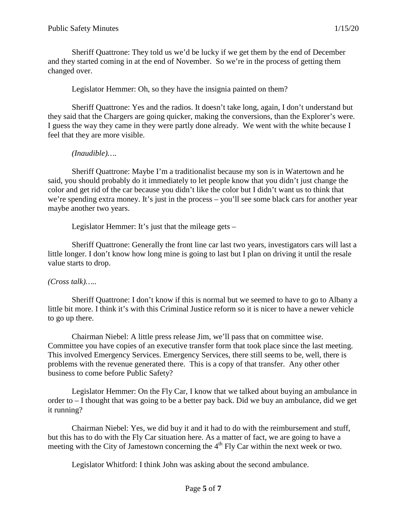Sheriff Quattrone: They told us we'd be lucky if we get them by the end of December and they started coming in at the end of November. So we're in the process of getting them changed over.

Legislator Hemmer: Oh, so they have the insignia painted on them?

Sheriff Quattrone: Yes and the radios. It doesn't take long, again, I don't understand but they said that the Chargers are going quicker, making the conversions, than the Explorer's were. I guess the way they came in they were partly done already. We went with the white because I feel that they are more visible.

#### *(Inaudible)….*

Sheriff Quattrone: Maybe I'm a traditionalist because my son is in Watertown and he said, you should probably do it immediately to let people know that you didn't just change the color and get rid of the car because you didn't like the color but I didn't want us to think that we're spending extra money. It's just in the process – you'll see some black cars for another year maybe another two years.

Legislator Hemmer: It's just that the mileage gets –

Sheriff Quattrone: Generally the front line car last two years, investigators cars will last a little longer. I don't know how long mine is going to last but I plan on driving it until the resale value starts to drop.

### *(Cross talk)…..*

Sheriff Quattrone: I don't know if this is normal but we seemed to have to go to Albany a little bit more. I think it's with this Criminal Justice reform so it is nicer to have a newer vehicle to go up there.

Chairman Niebel: A little press release Jim, we'll pass that on committee wise. Committee you have copies of an executive transfer form that took place since the last meeting. This involved Emergency Services. Emergency Services, there still seems to be, well, there is problems with the revenue generated there. This is a copy of that transfer. Any other other business to come before Public Safety?

Legislator Hemmer: On the Fly Car, I know that we talked about buying an ambulance in order to – I thought that was going to be a better pay back. Did we buy an ambulance, did we get it running?

Chairman Niebel: Yes, we did buy it and it had to do with the reimbursement and stuff, but this has to do with the Fly Car situation here. As a matter of fact, we are going to have a meeting with the City of Jamestown concerning the  $4<sup>th</sup>$  Fly Car within the next week or two.

Legislator Whitford: I think John was asking about the second ambulance.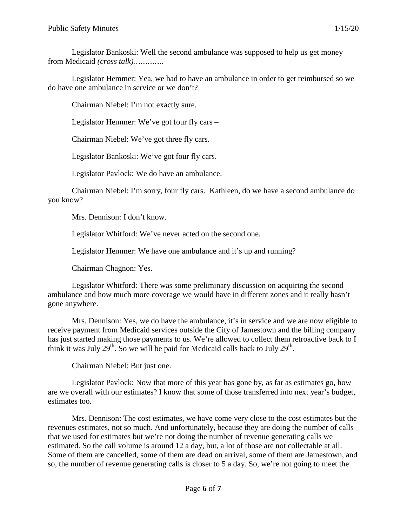Legislator Bankoski: Well the second ambulance was supposed to help us get money from Medicaid *(cross talk)………….*

Legislator Hemmer: Yea, we had to have an ambulance in order to get reimbursed so we do have one ambulance in service or we don't?

Chairman Niebel: I'm not exactly sure.

Legislator Hemmer: We've got four fly cars –

Chairman Niebel: We've got three fly cars.

Legislator Bankoski: We've got four fly cars.

Legislator Pavlock: We do have an ambulance.

Chairman Niebel: I'm sorry, four fly cars. Kathleen, do we have a second ambulance do you know?

Mrs. Dennison: I don't know.

Legislator Whitford: We've never acted on the second one.

Legislator Hemmer: We have one ambulance and it's up and running?

Chairman Chagnon: Yes.

Legislator Whitford: There was some preliminary discussion on acquiring the second ambulance and how much more coverage we would have in different zones and it really hasn't gone anywhere.

Mrs. Dennison: Yes, we do have the ambulance, it's in service and we are now eligible to receive payment from Medicaid services outside the City of Jamestown and the billing company has just started making those payments to us. We're allowed to collect them retroactive back to I think it was July  $29^{th}$ . So we will be paid for Medicaid calls back to July  $29^{th}$ .

Chairman Niebel: But just one.

Legislator Pavlock: Now that more of this year has gone by, as far as estimates go, how are we overall with our estimates? I know that some of those transferred into next year's budget, estimates too.

Mrs. Dennison: The cost estimates, we have come very close to the cost estimates but the revenues estimates, not so much. And unfortunately, because they are doing the number of calls that we used for estimates but we're not doing the number of revenue generating calls we estimated. So the call volume is around 12 a day, but, a lot of those are not collectable at all. Some of them are cancelled, some of them are dead on arrival, some of them are Jamestown, and so, the number of revenue generating calls is closer to 5 a day. So, we're not going to meet the